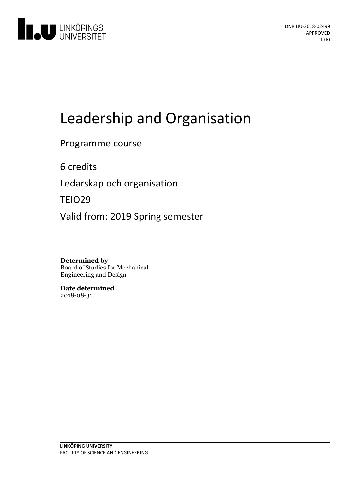

# Leadership and Organisation

Programme course

6 credits

Ledarskap och organisation

TEIO29

Valid from: 2019 Spring semester

**Determined by** Board of Studies for Mechanical Engineering and Design

**Date determined** 2018-08-31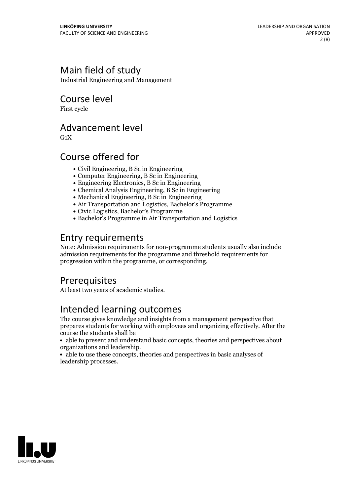# Main field of study

Industrial Engineering and Management

Course level

First cycle

### Advancement level

 $G_1X$ 

# Course offered for

- Civil Engineering, B Sc in Engineering
- Computer Engineering, B Sc in Engineering
- Engineering Electronics, B Sc in Engineering
- Chemical Analysis Engineering, B Sc in Engineering
- Mechanical Engineering, B Sc in Engineering
- Air Transportation and Logistics, Bachelor's Programme
- Civic Logistics, Bachelor's Programme
- Bachelor's Programme in Air Transportation and Logistics

### Entry requirements

Note: Admission requirements for non-programme students usually also include admission requirements for the programme and threshold requirements for progression within the programme, or corresponding.

### **Prerequisites**

At least two years of academic studies.

# Intended learning outcomes

The course gives knowledge and insights from a management perspective that prepares students for working with employees and organizing effectively. After the course the students shall be

able to present and understand basic concepts, theories and perspectives about organizations and leadership.<br>• able to use these concepts, theories and perspectives in basic analyses of

leadership processes.

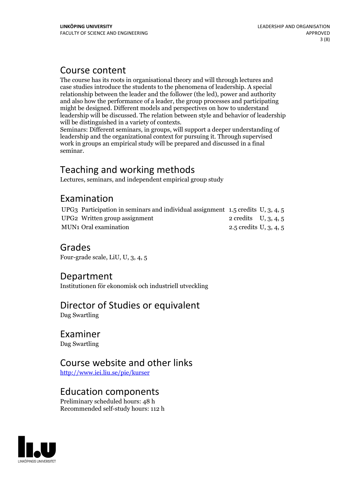## Course content

The course has its roots in organisational theory and will through lectures and case studies introduce the students to the phenomena of leadership. A special relationship between the leader and the follower (the led), power and authority and also how the performance of a leader, the group processes and participating might be designed. Different models and perspectives on how to understand leadership will be discussed. The relation between style and behavior of leadership

will be distinguished in <sup>a</sup> variety of contexts. Seminars: Different seminars, in groups, will support <sup>a</sup> deeper understanding of leadership and the organizational context for pursuing it. Through supervised work in groups an empirical study will be prepared and discussed in a final seminar.

# Teaching and working methods

Lectures, seminars, and independent empirical group study

# Examination

| UPG3 Participation in seminars and individual assignment 1.5 credits U, 3, 4, 5 |                        |  |
|---------------------------------------------------------------------------------|------------------------|--|
| UPG2 Written group assignment                                                   | 2 credits $U, 3, 4, 5$ |  |
| MUN1 Oral examination                                                           | 2.5 credits U, 3, 4, 5 |  |

### Grades

Four-grade scale, LiU, U, 3, 4, 5

# Department

Institutionen för ekonomisk och industriell utveckling

### Director of Studies or equivalent

Dag Swartling

### Examiner

Dag Swartling

### Course website and other links

<http://www.iei.liu.se/pie/kurser>

### Education components

Preliminary scheduled hours: 48 h Recommended self-study hours: 112 h

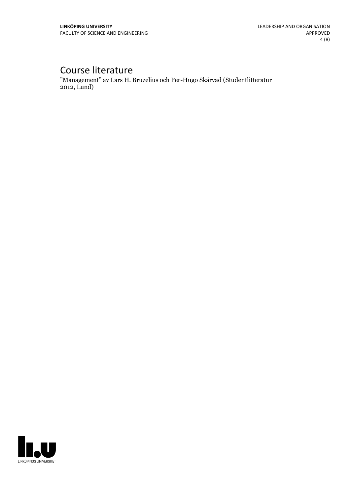# Course literature

"Management" av Lars H. Bruzelius och Per-Hugo Skärvad (Studentlitteratur 2012, Lund)

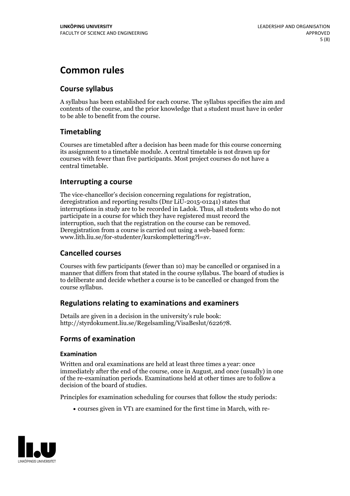# **Common rules**

### **Course syllabus**

A syllabus has been established for each course. The syllabus specifies the aim and contents of the course, and the prior knowledge that a student must have in order to be able to benefit from the course.

### **Timetabling**

Courses are timetabled after a decision has been made for this course concerning its assignment to a timetable module. A central timetable is not drawn up for courses with fewer than five participants. Most project courses do not have a central timetable.

### **Interrupting a course**

The vice-chancellor's decision concerning regulations for registration, deregistration and reporting results (Dnr LiU-2015-01241) states that interruptions in study are to be recorded in Ladok. Thus, all students who do not participate in a course for which they have registered must record the interruption, such that the registration on the course can be removed. Deregistration from <sup>a</sup> course is carried outusing <sup>a</sup> web-based form: www.lith.liu.se/for-studenter/kurskomplettering?l=sv.

### **Cancelled courses**

Courses with few participants (fewer than 10) may be cancelled or organised in a manner that differs from that stated in the course syllabus. The board of studies is to deliberate and decide whether a course is to be cancelled orchanged from the course syllabus.

### **Regulations relatingto examinations and examiners**

Details are given in a decision in the university's rule book: http://styrdokument.liu.se/Regelsamling/VisaBeslut/622678.

### **Forms of examination**

### **Examination**

Written and oral examinations are held at least three times a year: once immediately after the end of the course, once in August, and once (usually) in one of the re-examination periods. Examinations held at other times are to follow a decision of the board of studies.

Principles for examination scheduling for courses that follow the study periods:

courses given in VT1 are examined for the first time in March, with re-

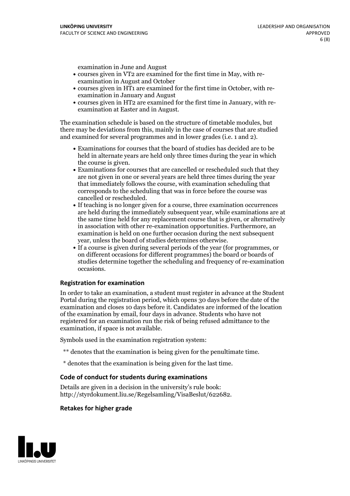examination in June and August

- courses given in VT2 are examined for the first time in May, with re-examination in August and October
- courses given in HT1 are examined for the first time in October, with re-examination in January and August
- courses given in HT2 are examined for the first time in January, with re-examination at Easter and in August.

The examination schedule is based on the structure of timetable modules, but there may be deviations from this, mainly in the case of courses that are studied and examined for several programmes and in lower grades (i.e. 1 and 2).

- Examinations for courses that the board of studies has decided are to be held in alternate years are held only three times during the year in which
- the course is given.<br>• Examinations for courses that are cancelled or rescheduled such that they are not given in one or several years are held three times during the year that immediately follows the course, with examination scheduling that corresponds to the scheduling that was in force before the course was cancelled or rescheduled.<br>• If teaching is no longer given for a course, three examination occurrences
- are held during the immediately subsequent year, while examinations are at the same time held for any replacement course that is given, or alternatively in association with other re-examination opportunities. Furthermore, an examination is held on one further occasion during the next subsequent year, unless the board of studies determines otherwise.<br>• If a course is given during several periods of the year (for programmes, or
- on different occasions for different programmes) the board orboards of studies determine together the scheduling and frequency of re-examination occasions.

#### **Registration for examination**

In order to take an examination, a student must register in advance at the Student Portal during the registration period, which opens 30 days before the date of the examination and closes 10 days before it. Candidates are informed of the location of the examination by email, four days in advance. Students who have not registered for an examination run the risk of being refused admittance to the examination, if space is not available.

Symbols used in the examination registration system:

- \*\* denotes that the examination is being given for the penultimate time.
- \* denotes that the examination is being given for the last time.

#### **Code of conduct for students during examinations**

Details are given in a decision in the university's rule book: http://styrdokument.liu.se/Regelsamling/VisaBeslut/622682.

#### **Retakes for higher grade**

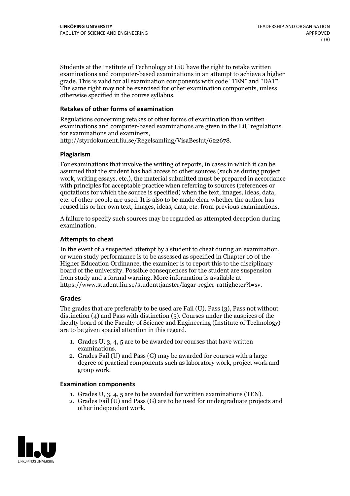Students at the Institute of Technology at LiU have the right to retake written examinations and computer-based examinations in an attempt to achieve a higher grade. This is valid for all examination components with code "TEN" and "DAT". The same right may not be exercised for other examination components, unless otherwise specified in the course syllabus.

### **Retakes of other forms of examination**

Regulations concerning retakes of other forms of examination than written examinations and computer-based examinations are given in the LiU regulations for examinations and examiners, http://styrdokument.liu.se/Regelsamling/VisaBeslut/622678.

#### **Plagiarism**

For examinations that involve the writing of reports, in cases in which it can be assumed that the student has had access to other sources (such as during project work, writing essays, etc.), the material submitted must be prepared in accordance with principles for acceptable practice when referring to sources (references or quotations for which the source is specified) when the text, images, ideas, data, etc. of other people are used. It is also to be made clear whether the author has reused his or her own text, images, ideas, data, etc. from previous examinations.

A failure to specify such sources may be regarded as attempted deception during examination.

#### **Attempts to cheat**

In the event of <sup>a</sup> suspected attempt by <sup>a</sup> student to cheat during an examination, or when study performance is to be assessed as specified in Chapter <sup>10</sup> of the Higher Education Ordinance, the examiner is to report this to the disciplinary board of the university. Possible consequences for the student are suspension from study and a formal warning. More information is available at https://www.student.liu.se/studenttjanster/lagar-regler-rattigheter?l=sv.

#### **Grades**

The grades that are preferably to be used are Fail (U), Pass (3), Pass not without distinction  $(4)$  and Pass with distinction  $(5)$ . Courses under the auspices of the faculty board of the Faculty of Science and Engineering (Institute of Technology) are to be given special attention in this regard.

- 1. Grades U, 3, 4, 5 are to be awarded for courses that have written
- examinations. 2. Grades Fail (U) and Pass (G) may be awarded for courses with <sup>a</sup> large degree of practical components such as laboratory work, project work and group work.

#### **Examination components**

- 
- 1. Grades U, 3, 4, <sup>5</sup> are to be awarded for written examinations (TEN). 2. Grades Fail (U) and Pass (G) are to be used for undergraduate projects and other independent work.